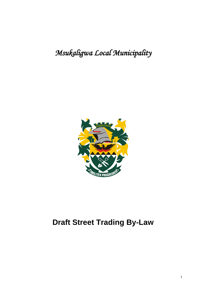# *Msukaligwa Local Municipality*



# **Draft Street Trading By-Law**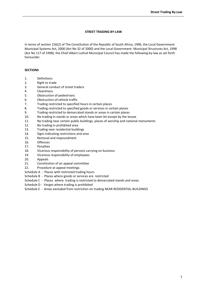### **STREET TRADING BY-LAW**

In terms of section 156(2) of The Constitution of the Republic of South Africa, 1996, the Local Government: Municipal Systems Act, 2000 (Act No 32 of 2000) and the Local Government: Municipal Structures Act, 1998 (Act No 117 of 1998), the Chief Albert Luthuli Municipal Council has made the following by-law as set forth hereunder.

# **SECTIONS**

- 1. Definitions
- 2. Right to trade
- 3. General conduct of street traders
- 4. Cleanliness
- 5. Obstruction of pedestrians
- 6. Obstruction of vehicle traffic
- 7. Trading restricted to specified hours in certain places
- 8. Trading restricted to specified goods or services in certain places
- 9. Trading restricted to demarcated stands or areas in certain places
- 10. No trading in stands or areas which have been let except by the lessee
- 11. No trading near certain public buildings, places of worship and national monuments
- 12. No trading in prohibited area
- 13. Trading near residential buildings
- 14. Signs indicating restrictions and area
- 15. Removal and impoundment
- 16. Offences
- 17. Penalties
- 18. Vicarious responsibility of persons carrying on business
- 19. Vicarious responsibility of employees
- 20. Appeals
- 21. Constitution of an appeal committee
- 22. Procedure at appeal meetings
- Schedule A Places with restricted trading hours
- Schedule B Places where goods or services are restricted
- Schedule C Places where trading is restricted to demarcated stands and areas
- Schedule D Verges where trading is prohibited
- Schedule E Areas excluded from restriction on trading NEAR RESIDENTIAL BUILDINGS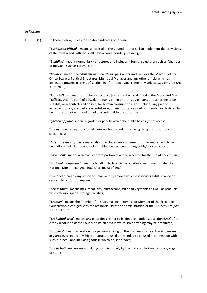#### *Definitions*

1. (1) In these by-law, unless the context indicates otherwise:

"*authorised official*" means an official of the Council authorised to implement the provisions of the by-law and "officer" shall have a corresponding meaning;

"*buiilding*" means normal brick structures and includes informal structures such as "shanties or movable such as caravans";

"*Council*" means the Msukaligwa Local Municipal Council and includes the Mayor, Political Office Bearers, Political Structures, Municipal Manager and any other official who has delegated powers in terms of section 59 of the Local Government: Municipal Systems Act (Act 32 of 2000);

"*foodstuff*" means any article or substance [except a drug as defined in the Drugs and Drugs Trafficing Act, (Act 140 of 1992)], ordinarily eaten or drunk by persons or purporting to be suitable, or manufactured or sold, for human consumption, and includes any part or ingredient of any such article or substance, or any substance used or intended or destined to be used as a part or ingredient of any such article or substance;

"*garden of park*" means a garden or park to which the public has a right of access;

"*goods*" means any transferable interest but excludes any living thing and hazardous substances;

"*litter*" means any waste materials and includes any container or other matter which has been discarded, abandoned or left behind by a person trading or his/her customers;

"*pavement*" means a sidewalk or that portion of a road reserved for the use of pedestrians;

"*national monument*" means a building declared to be a national monument under the National Monuments Act, 1969 (Act No. 28 of 1969);

"*nuisance*" means any action or behaviour by anyone which constitutes a disturbance or causes discomfort to anyone;

"*perishable*s" means milk, meat, fish, crustaceans, fruit and vegetables as well as products which require special storage facilities;

"*premier*" means the Premier of the Mpumalanga Province or Member of the Executive Council who is charged with the responsibility of the administration of the Business Act (Act No. 71 of 1991;

"*prohibited area*" means any place declared or to be declared under subsection 6A(2) of the Act by resolution of the Council to be an area in which street trading may be prohibited;

"*property*" means in relation to a person carrying on the business of street trading, means any article, receptacle, vehicle or structure used or intended to be used in connection with such business, and includes goods in which he/she trades;

"*public building*" means a building occupied solely by the State or the Council or any organs or state;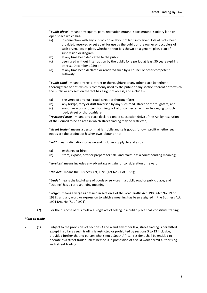"*public place*" means any square, park, recreation ground, sport ground, sanitary lane or open space which has-

- (a) in connection with any subdivision or layout of land into erven, lots of plots, been provided, reserved or set apart for use by the public or the owner or occupiers of such erven, lots of plots, whether or not it is shown on a general plan, plan of subdivision or diagram;
- (b) at any time been dedicated to the public;
- (c) been used without interruption by the public for a period at least 30 years expiring after 31 December 1959; or
- (d) at any time been declared or rendered such by a Council or other competent authority;

"*public road*" means any road, street or thoroughfare or any other place (whether a thoroughfare or not) which is commonly used by the public or any section thereof or to which the public or any section thereof has a right of access, and includes-

- (a) the verge of any such road, street or thoroughfare;
- (b) any bridge, ferry or drift traversed by any such road, street or thoroughfare; and
- (c) any other work or object forming part of or connected with or belonging to such road, street or thoroughfare;

"*restricted area*" means any place declared under subsection 6A(2) of the Act by resolution of the Council to be an area in which street trading may be restricted;

"*street trader*" means a person that is mobile and sells goods for own profit whether such goods are the product of his/her own labour or not;

"*sell*" means alienation for value and includes supply to and also-

- (a) exchange or hire;
- (b) store, expose, offer or prepare for sale, and "sale" has a corresponding meaning;

"*services*" means includes any advantage or gain for consideration or reward;

"*the Act*" means the Business Act, 1991 (Act No 71 of 1991);

"*trade*" means the lawful sale of goods or services in a public road or public place, and "trading" has a corresponding meaning;

"*verge*" means a verge as defined in section 1 of the Road Traffic Act, 1989 (Act No. 29 of 1989), and any word or expression to which a meaning has been assigned in the Business Act, 1991 (Act No, 71 of 1991).

(2) For the purpose of this by-law a single act of selling in a public place shall constitute trading.

#### *Right to trade*

2. (1) Subject to the provisions of sections 3 and 4 and any other law, street trading is permitted except in so far as such trading is restricted or prohibited by sections 5 to 13 inclusive, provided further that no person who is not a South African resident shall be entitled to operate as a street trader unless he/she is in possession of a valid work permit authorising such street trading.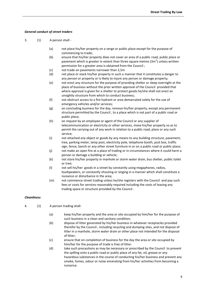# *General conduct of street traders*

- 3. (1) A person shall
	- (a) not place his/her property on a verge or public place except for the purpose of commencing to trade;
	- (b) ensure that his/her property does not cover an area of a public road, public place or pavement which is greater in extent than three square metres (3m<sup>2</sup>) unless written permission for a greater area is obtained from the Council ;
	- (c) not trade on pavements narrower than 2,5m
	- (d) not place or stack his/her property in such a manner that it constitutes a danger to any person or property or is likely to injure any person or damage property;
	- (e) not erect any structure for the purpose of providing shelter or sleep overnight at the place of business without the prior written approval of the Council provided that where approval is given for a shelter to protect goods he/she shall not erect an unsightly structure from which to conduct business;
	- (f) not obstruct access to a fire hydrant or area demarcated solely for the use of emergency vehicles and/or services;
	- (g) on concluding business for the day, remove his/her property, except any permanent structure permitted by the Council , to a place which is not part of a public road or public place;
	- (h) on request by an employee or agent of the Council or any supplier of telecommunication or electricity or other services, move his/her property so as to permit the carrying out of any work in relation to a public road, place or any such service;
	- (i) not attached any object or goods by any means to any building structure, pavement, tree, parking meter, lamp post, electricity pole, telephone booth, post box, traffic sign, fence, bench or any other street furniture in or on a public road or public place;
	- (j) not make an open fire at a place of trading or in circumstances where it could harm a person or damage a building or vehicle;
	- (k) not store his/her property in manhole or storm water drain, bus shelter, public toilet or tree;
	- (l) not sell his/her goods in a street by constantly using megaphones, radios, loudspeakers, or constantly shouting or singing in a manner which shall constitute a nuisance or disturbance in the area;
	- (m) not commence street trading unless he/she registers with the Council and pay such fees or costs for services reasonably required including the costs of leasing any trading space or structure provided by the Council .

# *Cleanliness*

- 4. (1) A person trading shall-
	- (a) keep his/her property and the area or site occupied by him/her for the purpose of such business in a clean and sanitary condition;
	- (b) dispose of litter generated by his/her business in whatever receptacles provided therefor by the Council , including recycling and dumping sites, and not dispose of litter in a manhole, storm water drain or other place not intended for the disposal of litter;
	- (c) ensure that on completion of business for the day the area or site occupied by him/her for the purpose of trade is free of litter.
	- (d) take such precautions as may be necessary or prescribed by the Council to prevent the spilling onto a public road or public place of any fat, oil, grease or any hazardous substances in the course of conducting his/her business and prevent any smoke, fumes, odour or noise emanating from his/her activities from becoming a nuisance.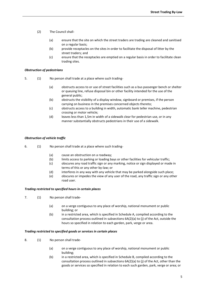- (2) The Council shall-
	- (a) ensure that the site on which the street traders are trading are cleaned and sanitised on a regular basis;
	- (b) provide receptacles on the sites in order to facilitate the disposal of litter by the street traders; and
	- (c) ensure that the receptacles are emptied on a regular basis in order to facilitate clean trading sites.

#### *Obstruction of pedestrians*

- 5. (1) No person shall trade at a place where such trading-
	- (a) obstructs access to or use of street facilities such as a bus passenger bench or shelter or queuing line, refuse disposal bin or other facility intended for the use of the general public;
	- (b) obstructs the visibility of a display window, signboard or premises, if the person carrying on business in the premises concerned objects thereto;
	- (c) obstructs access to a building in width, automatic bank teller machine, pedestrian crossing or motor vehicle;
	- (d) leaves less than 1,5m in width of a sidewalk clear for pedestrian use, or in any manner substantially obstructs pedestrians in their use of a sidewalk.

#### *Obstruction of vehicle traffic*

- 6. (1) No person shall trade at a place where such trading-
	- (a) cause an obstruction on a roadway;
	- (b) limits access to parking or loading bays or other facilities for vehicular traffic;
	- (c) obscures any road traffic sign or any marking, notice or sign displayed or made in terms of this or any other by-law; or
	- (d) interferes in any way with any vehicle that may be parked alongside such place;
	- (e) obscures or impedes the view of any user of the road, any traffic sign or any other road user.

#### *Trading restricted to specified hours in certain places*

- 7. (1) No person shall trade-
	- (a) on a verge contiguous to any place of worship, national monument or public building; or
	- (b) in a restricted area, which is specified in Schedule A, compiled according to the consultation process outlined in subsections 6A(2)(a) to (j) of the Act, outside the hours so specified in relation to each garden, park, verge or area.

#### *Trading restricted to specified goods or services in certain places*

- 8. (1) No person shall trade-
	- (a) on a verge contiguous to any place of worship, national monument or public building;
	- (b) in a restricted area, which is specified in Schedule B, compiled according to the consultation process outlined in subsections 6A(2)(a) to (j) of the Act, other than the goods or services so specified in relation to each such garden, park, verge or area; or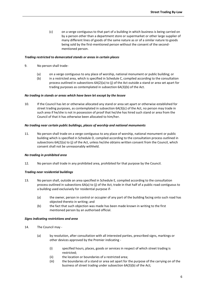(c) on a verge contiguous to that part of a building in which business is being carried on by a person other than a department store or supermarket or other large supplier of many different lines of goods of the same nature as or of a similar nature to goods being sold by the first-mentioned person without the consent of the secondmentioned person.

#### *Trading restricted to demarcated stands or areas in certain places*

- 9. No person shall trade-
	- (a) on a verge contiguous to any place of worship, national monument or public building; or
	- (b) in a restricted area, which is specified in Schedule C, compiled according to the consultation process outlined in subsections 6A(2)(a) to (j) of the Act outside a stand or area set apart for trading purposes as contemplated in subsection 6A(3)(b) of the Act.

#### *No trading in stands or areas which have been let except by the lessee*

10. If the Council has let or otherwise allocated any stand or area set apart or otherwise established for street trading purposes, as contemplated in subsection 6A(3)(c) of the Act, no person may trade in such area if he/she is not in possession of proof that he/she has hired such stand or area from the Council of that it has otherwise been allocated to him/her.

#### *No trading near certain public buildings, places of worship and national monuments*

11. No person shall trade on a verge contiguous to any place of worship, national monument or public building which is specified in Schedule D, compiled according to the consultation process outlined in subsections 6A(2)(a) to (j) of the Act, unless he/she obtains written consent from the Council, which consent shall not be unreasonably withheld.

#### *No trading in prohibited area*

12. No person shall trade in any prohibited area, prohibited for that purpose by the Council.

#### *Trading near residential buildings*

- 13. No person shall, outside an area specified in Schedule E, compiled according to the consultation process outlined in subsections 6A(a) to (j) of the Act, trade in that half of a public road contiguous to a building used exclusively for residential purpose if-
	- (a) the owner, person in control or occupier of any part of the building facing onto such road has objected thereto in writing; and
	- (b) the fact that such objection was made has been made known in writing to the first mentioned person by an authorised official.

#### *Signs indicating restrictions and area*

- 14. The Council may
	- (a) by resolution, after consultation with all interested parties, prescribed signs, markings or other devices approved by the Premier indicating -
		- (i) specified hours, places, goods or services in respect of which street trading is restricted;
		- (ii) the location or boundaries of a restricted area;
		- (iii) the boundaries of a stand or area set apart for the purpose of the carrying on of the business of street trading under subsection 6A(3)(b) of the Act;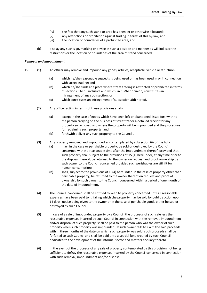- (iv) the fact that any such stand or area has been let or otherwise allocated;
- (v) any restrictions or prohibition against trading in terms of this by-law; and
- (vi) the location of boundaries of a prohibited area; and
- (b) display any such sign, marking or device in such a position and manner as will indicate the restrictions or the location or boundaries of the area of stand concerned.

#### *Removal and impoundment*

- 15. (1) An officer may remove and impound any goods, articles, receptacle, vehicle or structure-
	- (a) which he/she reasonable suspects is being used or has been used in or in connection with street trading; and
	- (b) which he/she finds at a place where street trading is restricted or prohibited in terms of sections 5 to 13 inclusive and which, in his/her opinion, constitutes an infringement of any such section; or
	- (c) which constitutes an infringement of subsection 3(d) hereof.
	- (2) Any officer acting in terms of these provisions shall-
		- (a) except in the case of goods which have been left or abandoned, issue forthwith to the person carrying on the business of street trader a detailed receipt for any property so removed and where the property will be impounded and the procedure for reclaiming such property; and
		- (b) forthwith deliver any such property to the Council .
	- (3) Any property removed and impounded as contemplated by subsection 6A of the Act-
		- (a) may, in the case or perishable property, be sold or destroyed by the Council concerned within a reasonable time after the impoundment thereof, provided that such property shall subject to the provisions of 15 (4) hereunder, at any time prior to the disposal thereof, be returned to the owner on request and proof ownership by such owner to the Council concerned provided such perishables are still fit for human consumption;
		- (b) shall, subject to the provisions of 15(4) hereunder, in the case of property other than perishable property, be returned to the owner thereof on request and proof of ownership by such owner to the Council concerned within a period of one month of the date of impoundment.
	- (4) The Council concerned shall be entitled to keep to property concerned until all reasonable expenses have been paid to it, failing which the property may be sold by public auction upon 14 days' notice being given to the owner or in the case of perishable goods either be sod or destroyed by such Council
	- (5) In case of a sale of impounded property by a Council, the proceeds of such sale less the reasonable expenses incurred by such Council in connection with the removal, impoundment and/or disposal of such property, shall be paid to the person who was the owner of such property when such property was impounded. If such owner fails to claim the said proceeds with in three months of the date on which such property was sold, such proceeds shall be forfeited to such Council and shall be paid onto a special fund created by such Council dedicated to the development of the informal sector and matters ancillary thereto.
	- (6) In the event of the proceeds of any sale of property contemplated by this provision not being sufficient to defray the reasonable expenses incurred by the Council concerned in connection with such removal, impoundment and/or disposal.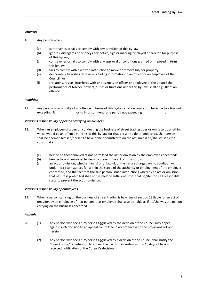# *Offences*

- 16. Any person who
	- (a) contravenes or fails to comply with any provision of this by-law;
	- (b) ignores, disregards or disobeys any notice, sign or marking displayed or erected for purpose of this by-law;
	- (c) contravenes or fails to comply with any approval or conditions granted or imposed in term this by-law;
	- (d) fails to comply with a written instruction to move or remove his/her property;
	- (e) deliberately furnishes false or misleading information to an officer or an employee of the Council ; or
	- (f) threatens, resists, interferes with or obstructs an officer or employee of the Council the performance of his/her powers, duties or functions under this by-law; shall be guilty of an offence.

# *Penalties*

17. Any person who is guilty of an offence in terms of this by-law shall on conviction be liable to a fine not exceeding R\_\_\_\_\_\_\_\_\_\_\_\_\_\_\_\_\_ or to imprisonment for a period not exceeding \_

### *Vicarious responsibility of persons carrying on business*

- 18. When an employee of a person conducting the business of street trading does or omits to do anything which would be an offence in terms of this by-law for that person to do or omit to do, that person shall be deemed himself/herself to have done or omitted to do the act, unless he/she satisfies the court that -
	- (a) he/she neither connived at nor permitted the act or omission by the employee concerned;
	- (b) he/she took all reasonable steps to prevent the act or omission; and
	- (c) an act or omission, whether lawful or unlawful, of the nature charged on no condition or under no circumstances fell within the scope of the authority or employment of the employer concerned, and the fact that the said person issued instructions whereby an act or omission that nature is prohibited shall not in itself be sufficient proof that he/she took all reasonable steps to prevent the act or omission.

### *Vicarious responsibility of employees*

19. When a person carrying on the business of street trading is by virtue of section 18 liable for an act of omission by an employee of that person, that employee shall also be liable as if he/she was the person carrying on the business concerned.

### *Appeals*

- 20. (1) Any person who feels him/herself aggrieved by the decision of the Council may appeal against such decision to an appeal committee in accordance with the provisions set out herein.
	- (2) Any person who feels him/herself aggrieved by a decision of the Council shall notify the Council of his/her intention to appeal the decision in writing within 10 days of having received notification of the Council's decision.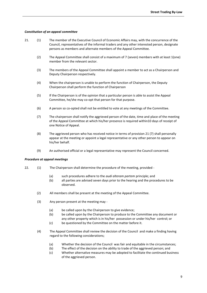#### *Constitution of an appeal committee*

- 21. (1) The member of the Executive Council of Economic Affairs may, with the concurrence of the Council, representatives of the informal traders and any other interested person, designate persons as members and alternate members of the Appeal Committee.
	- (2) The Appeal Committee shall consist of a maximum of 7 (seven) members with at least 1(one) member from the relevant sector.
	- (3) The members of the Appeal Committee shall appoint a member to act as a Chairperson and Deputy Chairperson respectively.
	- (4) When the chairperson is unable to perform the function of Chairperson, the Deputy Chairperson shall perform the function of Chairperson
	- (5) If the Chairperson is of the opinion that a particular person is able to assist the Appeal Committee, he/she may co-opt that person for that purpose.
	- (6) A person so co-opted shall not be entitled to vote at any meetings of the Committee.
	- (7) The chairperson shall notify the aggrieved person of the date, time and place of the meeting of the Appeal Committee at which his/her presence is required within10 days of receipt of one Notice of Appeal.
	- (8) The aggrieved person who has received notice in terms of provision 21 (7) shall personally appear at the meeting or appoint a legal representative or any other person to appear on his/her behalf.
	- (9) An authorised official or a legal representative may represent the Council concerned.

#### *Procedure at appeal meetings*

- 22. (1) The Chairperson shall determine the procedure of the meeting, provided -
	- (a) such procedures adhere to the *audi alteram partem* principle; and
	- (b) all parties are advised seven days prior to the hearing and the procedures to be observed.
	- (2) All members shall be present at the meeting of the Appeal Committee.
	- (3) Any person present at the meeting may
		- (a) be called upon by the Chairperson to give evidence;
		- (b) be called upon by the Chairperson to produce to the Committee any document or any other property which is in his/her possession or under his/her control; or
		- (c) be questioned by the Committee on the matter before it.
	- (4) The Appeal Committee shall review the decision of the Council and make a finding having regard to the following considerations;
		- (a) Whether the decision of the Council was fair and equitable in the circumstances;
		- (b) The effect of the decision on the ability to trade of the aggrieved person; and
		- (c) Whether alternative measures may be adopted to facilitate the continued business of the aggrieved person.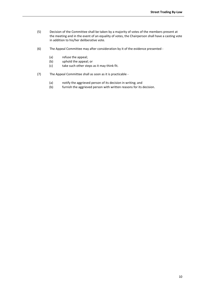- (5) Decision of the Committee shall be taken by a majority of votes of the members present at the meeting and in the event of an equality of votes, the Chairperson shall have a casting vote in addition to his/her deliberative vote.
- (6) The Appeal Committee may after consideration by it of the evidence presented
	- (a) refuse the appeal;
	- (b) uphold the appeal; or
	- (c) take such other steps as it may think fit.
- (7) The Appeal Committee shall as soon as it is practicable
	- (a) notify the aggrieved person of its decision in writing; and
	- (b) furnish the aggrieved person with written reasons for its decision.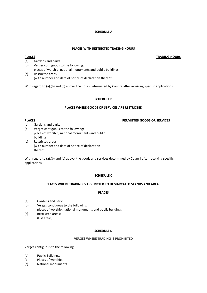### **SCHEDULE A**

## **PLACES WITH RESTRICTED TRADING HOURS**

# **PLACES TRADING HOURS**

- (a) Gardens and parks
- (b) Verges contiguous to the following: places of worship, national monuments and public buildings
- (c) Restricted areas: (with number and date of notice of declaration thereof)

With regard to (a),(b) and (c) above, the hours determined by Council after receiving specific applications.

# **SCHEDULE B**

### **PLACES WHERE GOODS OR SERVICES ARE RESTRICTED**

# **PLACES PERMITTED GOODS OR SERVICES**

(a) Gardens and parks

- (b) Verges contiguous to the following: places of worship, national monuments and public buildings
- (c) Restricted areas: (with number and date of notice of declaration thereof)

With regard to (a),(b) and (c) above, the goods and services determined by Council after receiving specific applications.

# **SCHEDULE C**

### **PLACES WHERE TRADING IS TRSTRICTED TO DEMARCATED STANDS AND AREAS**

# **PLACES**

(a) Gardens and parks.

(b) Verges contiguous to the following:

places of worship, national monuments and public buildings.

(c) Restricted areas: (List areas)

# **SCHEDULE D**

# **VERGES WHERE TRADING IS PROHIBITED**

Verges contiguous to the following:

- (a) Public Buildings.
- (b) Places of worship.
- (c) National monuments.